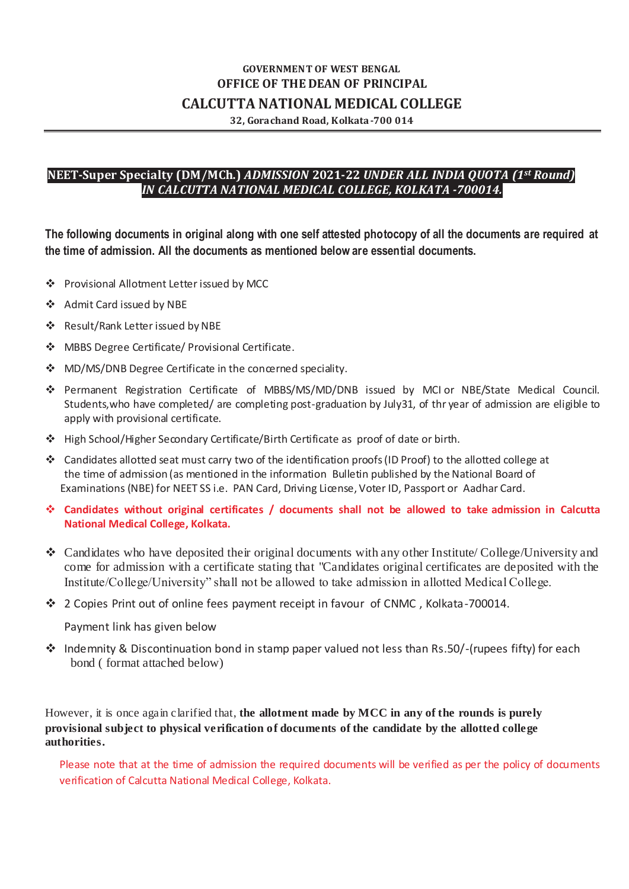# **GOVERNMENT OF WEST BENGAL OFFICE OF THE DEAN OF PRINCIPAL CALCUTTA NATIONAL MEDICAL COLLEGE**

**32, Gorachand Road, Kolkata-700 014**

## **NEET-Super Specialty (DM/MCh.)** *ADMISSION* **2021-22** *UNDER ALL INDIA QUOTA (1st Round) IN CALCUTTA NATIONAL MEDICAL COLLEGE, KOLKATA -700014.*

**The following documents in original along with one self attested photocopy of all the documents are required at the time of admission. All the documents as mentioned below are essential documents.**

- Provisional Allotment Letter issued by MCC
- Admit Card issued by NBE
- Result/Rank Letter issued by NBE
- MBBS Degree Certificate/ Provisional Certificate.
- ❖ MD/MS/DNB Degree Certificate in the concerned speciality.
- Permanent Registration Certificate of MBBS/MS/MD/DNB issued by MCI or NBE/State Medical Council. Students,who have completed/ are completing post-graduation by July31, of thr year of admission are eligible to apply with provisional certificate.
- High School/Higher Secondary Certificate/Birth Certificate as proof of date or birth.
- Candidates allotted seat must carry two of the identification proofs (ID Proof) to the allotted college at the time of admission (as mentioned in the information Bulletin published by the National Board of Examinations (NBE) for NEET SS i.e. PAN Card, Driving License, Voter ID, Passport or Aadhar Card.
- **Candidates without original certificates / documents shall not be allowed to take admission in Calcutta National Medical College, Kolkata.**
- $\bullet$  Candidates who have deposited their original documents with any other Institute/College/University and come for admission with a certificate stating that "Candidates original certificates are deposited with the Institute/College/University" shall not be allowed to take admission in allotted Medical College.
- 2 Copies Print out of online fees payment receipt in favour of CNMC , Kolkata-700014.

Payment link has given below

• Indemnity & Discontinuation bond in stamp paper valued not less than Rs.50/-(rupees fifty) for each bond ( format attached below)

However, it is once again clarified that, **the allotment made by MCC in any of the rounds is purely provisional subject to physical verification of documents of the candidate by the allotted college authorities.**

Please note that at the time of admission the required documents will be verified as per the policy of documents verification of Calcutta National Medical College, Kolkata.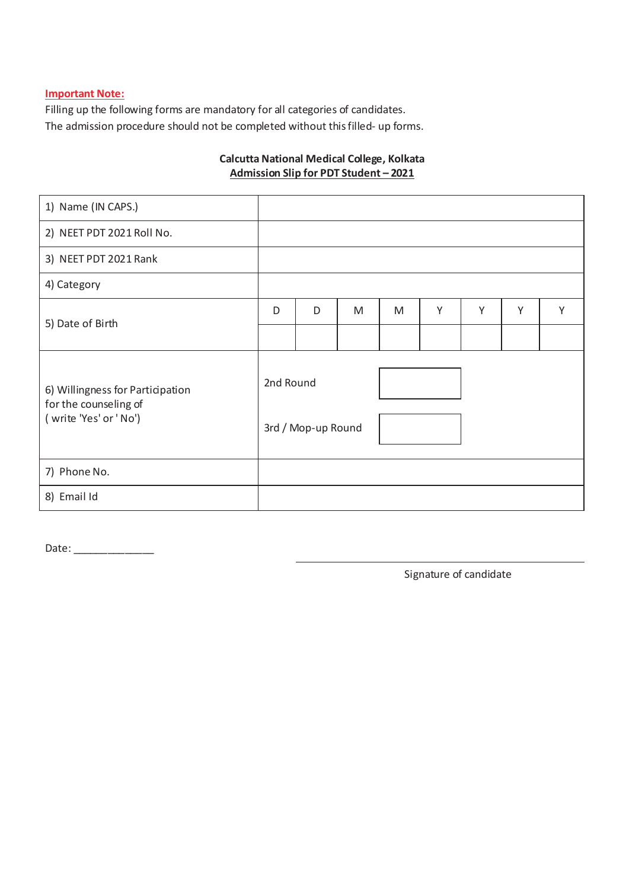### **Important Note:**

Filling up the following forms are mandatory for all categories of candidates. The admission procedure should not be completed without this filled- up forms.

## **Calcutta National Medical College, Kolkata Admission Slip for PDT Student – 2021**

| 1) Name (IN CAPS.)                                                                  |                                 |   |   |   |   |   |   |   |
|-------------------------------------------------------------------------------------|---------------------------------|---|---|---|---|---|---|---|
| 2) NEET PDT 2021 Roll No.                                                           |                                 |   |   |   |   |   |   |   |
| 3) NEET PDT 2021 Rank                                                               |                                 |   |   |   |   |   |   |   |
| 4) Category                                                                         |                                 |   |   |   |   |   |   |   |
| 5) Date of Birth                                                                    | D                               | D | M | M | Υ | Y | Υ | Υ |
|                                                                                     |                                 |   |   |   |   |   |   |   |
| 6) Willingness for Participation<br>for the counseling of<br>(write 'Yes' or ' No') | 2nd Round<br>3rd / Mop-up Round |   |   |   |   |   |   |   |
| 7) Phone No.                                                                        |                                 |   |   |   |   |   |   |   |
| 8) Email Id                                                                         |                                 |   |   |   |   |   |   |   |

Date: \_\_\_\_\_\_\_\_\_\_\_\_\_\_\_

Signature of candidate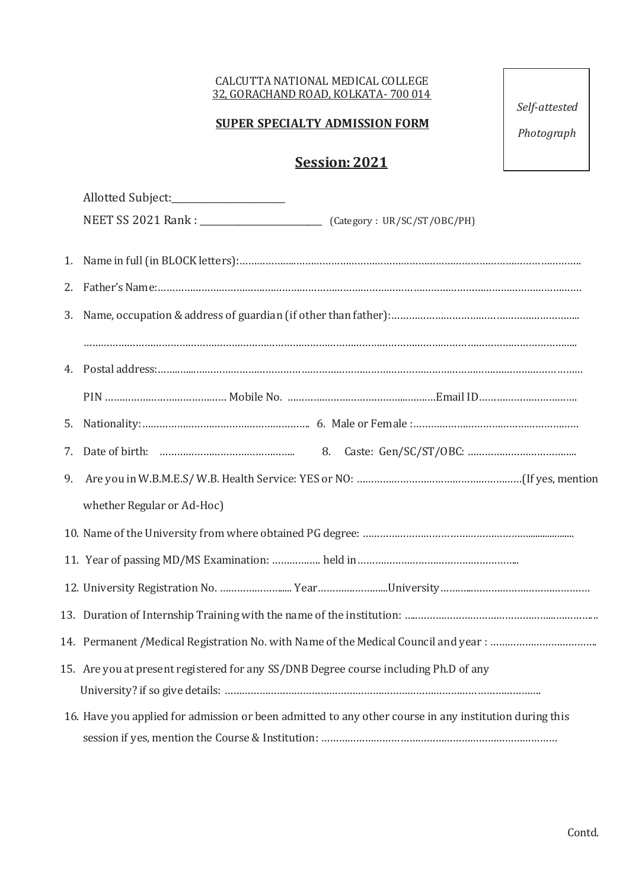### CALCUTTA NATIONAL MEDICAL COLLEGE 32, GORACHAND ROAD, KOLKATA- 700 014

# **SUPER SPECIALTY ADMISSION FORM**

*Self-attested*

*Photograph*

# **Session: 2021**

|    | Allotted Subject:___________________                                                                   |
|----|--------------------------------------------------------------------------------------------------------|
|    |                                                                                                        |
|    |                                                                                                        |
| 1. |                                                                                                        |
| 2. |                                                                                                        |
| 3. |                                                                                                        |
|    |                                                                                                        |
|    |                                                                                                        |
|    |                                                                                                        |
|    |                                                                                                        |
| 7. |                                                                                                        |
| 9. |                                                                                                        |
|    | whether Regular or Ad-Hoc)                                                                             |
|    |                                                                                                        |
|    |                                                                                                        |
|    |                                                                                                        |
|    |                                                                                                        |
|    |                                                                                                        |
|    | 15. Are you at present registered for any SS/DNB Degree course including Ph.D of any                   |
|    |                                                                                                        |
|    | 16. Have you applied for admission or been admitted to any other course in any institution during this |
|    |                                                                                                        |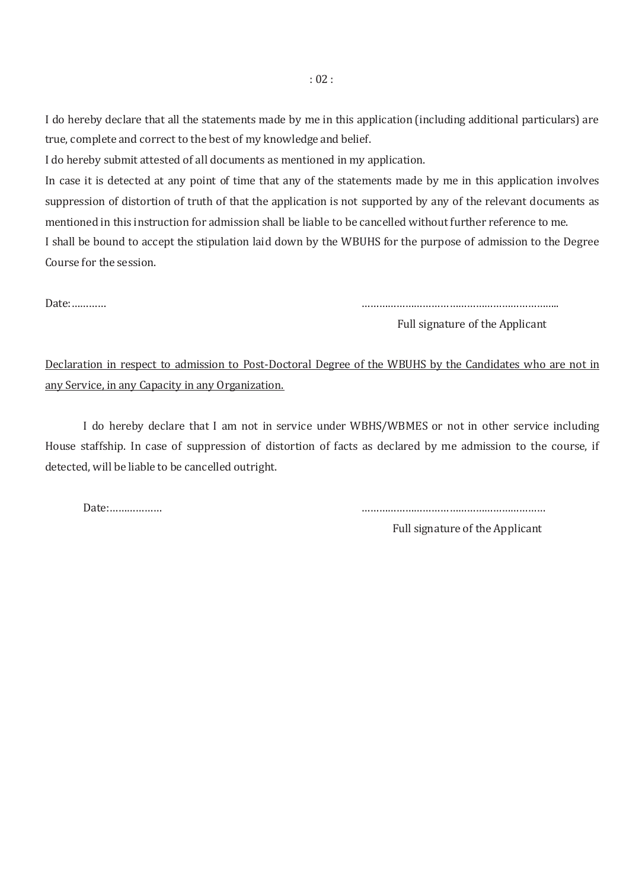I do hereby declare that all the statements made by me in this application (including additional particulars) are true, complete and correct to the best of my knowledge and belief.

I do hereby submit attested of all documents as mentioned in my application.

In case it is detected at any point of time that any of the statements made by me in this application involves suppression of distortion of truth of that the application is not supported by any of the relevant documents as mentioned in this instruction for admission shall be liable to be cancelled without further reference to me. I shall be bound to accept the stipulation laid down by the WBUHS for the purpose of admission to the Degree Course for the session.

Date:………… …………………………………………………………..

Full signature of the Applicant

Declaration in respect to admission to Post-Doctoral Degree of the WBUHS by the Candidates who are not in any Service, in any Capacity in any Organization.

I do hereby declare that I am not in service under WBHS/WBMES or not in other service including House staffship. In case of suppression of distortion of facts as declared by me admission to the course, if detected, will be liable to be cancelled outright.

Date:……………… ………………………………………………………

Full signature of the Applicant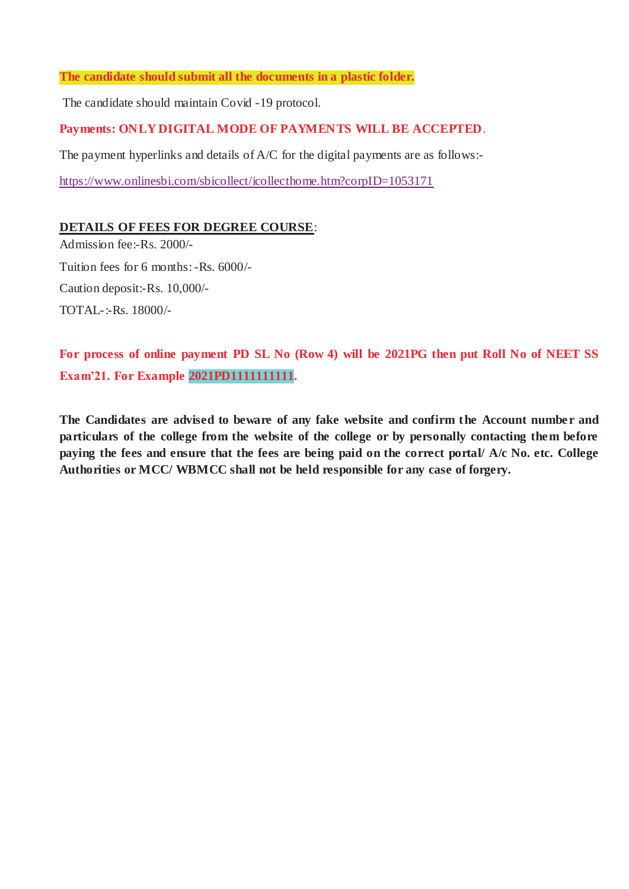### **The candidate should submit all the documents in a plastic folder.**

The candidate should maintain Covid -19 protocol.

## **Payments: ONLY DIGITAL MODE OF PAYMENTS WILL BE ACCEPTED**.

The payment hyperlinks and details of A/C for the digital payments are as follows:-

<https://www.onlinesbi.com/sbicollect/icollecthome.htm?corpID=1053171>

## **DETAILS OF FEES FOR DEGREE COURSE**:

Admission fee:-Rs. 2000/- Tuition fees for 6 months: -Rs. 6000/- Caution deposit:-Rs. 10,000/- TOTAL-:-Rs. 18000/-

**For process of online payment PD SL No (Row 4) will be 2021PG then put Roll No of NEET SS Exam'21. For Example 2021PD1111111111.**

**The Candidates are advised to beware of any fake website and confirm the Account number and particulars of the college from the website of the college or by personally contacting them before paying the fees and ensure that the fees are being paid on the correct portal/ A/c No. etc. College Authorities or MCC/ WBMCC shall not be held responsible for any case of forgery.**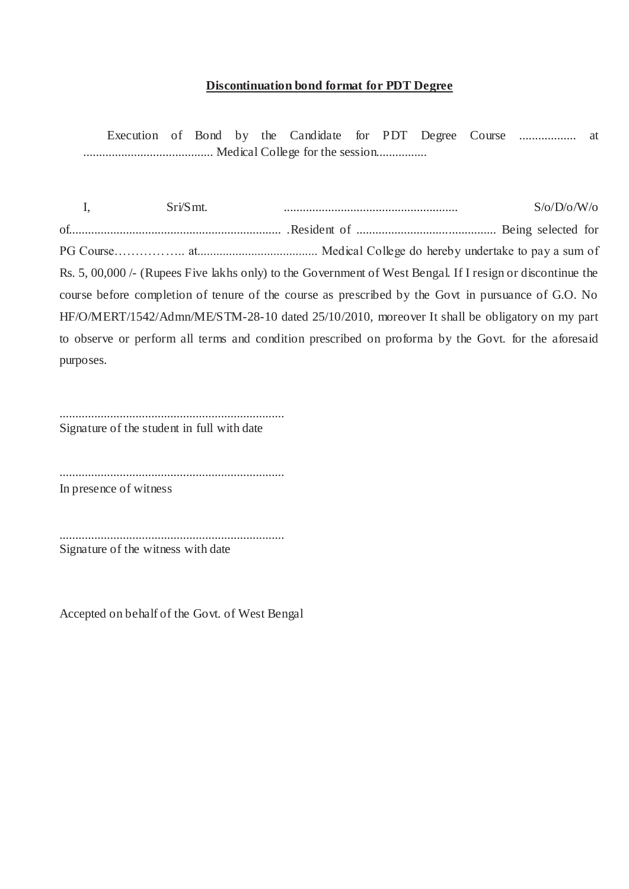### **Discontinuation bond format for PDT Degree**

Execution of Bond by the Candidate for PDT Degree Course .................. at ......................................... Medical College for the session................

I, Sri/Smt. ....................................................... S/o/D/o/W/o of................................................................... .Resident of ............................................ Being selected for PG Course…………….. at...................................... Medical College do hereby undertake to pay a sum of Rs. 5, 00,000 /- (Rupees Five lakhs only) to the Government of West Bengal. If I resign or discontinue the course before completion of tenure of the course as prescribed by the Govt in pursuance of G.O. No HF/O/MERT/1542/Admn/ME/STM-28-10 dated 25/10/2010, moreover It shall be obligatory on my part to observe or perform all terms and condition prescribed on proforma by the Govt. for the aforesaid purposes.

....................................................................... Signature of the student in full with date

.......................................................................

In presence of witness

....................................................................... Signature of the witness with date

Accepted on behalf of the Govt. of West Bengal